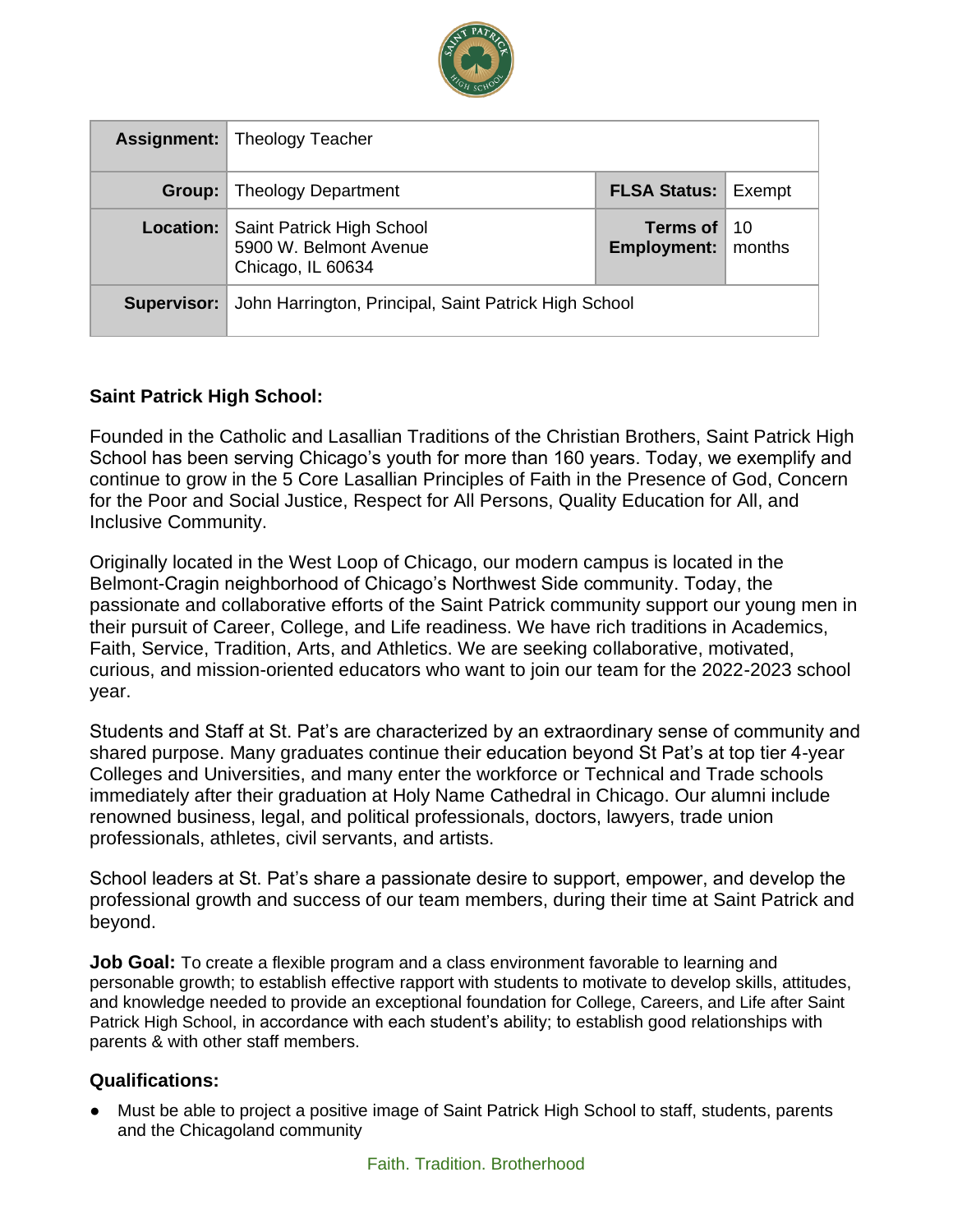

|             | <b>Assignment:</b> Theology Teacher                                      |                                              |  |
|-------------|--------------------------------------------------------------------------|----------------------------------------------|--|
| Group:      | <b>Theology Department</b>                                               | <b>FLSA Status: Exempt</b>                   |  |
| Location:   | Saint Patrick High School<br>5900 W. Belmont Avenue<br>Chicago, IL 60634 | Terms of $10$<br><b>Employment:</b>   months |  |
| Supervisor: | John Harrington, Principal, Saint Patrick High School                    |                                              |  |

### **Saint Patrick High School:**

Founded in the Catholic and Lasallian Traditions of the Christian Brothers, Saint Patrick High School has been serving Chicago's youth for more than 160 years. Today, we exemplify and continue to grow in the 5 Core Lasallian Principles of Faith in the Presence of God, Concern for the Poor and Social Justice, Respect for All Persons, Quality Education for All, and Inclusive Community.

Originally located in the West Loop of Chicago, our modern campus is located in the Belmont-Cragin neighborhood of Chicago's Northwest Side community. Today, the passionate and collaborative efforts of the Saint Patrick community support our young men in their pursuit of Career, College, and Life readiness. We have rich traditions in Academics, Faith, Service, Tradition, Arts, and Athletics. We are seeking collaborative, motivated, curious, and mission-oriented educators who want to join our team for the 2022-2023 school year.

Students and Staff at St. Pat's are characterized by an extraordinary sense of community and shared purpose. Many graduates continue their education beyond St Pat's at top tier 4-year Colleges and Universities, and many enter the workforce or Technical and Trade schools immediately after their graduation at Holy Name Cathedral in Chicago. Our alumni include renowned business, legal, and political professionals, doctors, lawyers, trade union professionals, athletes, civil servants, and artists.

School leaders at St. Pat's share a passionate desire to support, empower, and develop the professional growth and success of our team members, during their time at Saint Patrick and beyond.

**Job Goal:** To create a flexible program and a class environment favorable to learning and personable growth; to establish effective rapport with students to motivate to develop skills, attitudes, and knowledge needed to provide an exceptional foundation for College, Careers, and Life after Saint Patrick High School, in accordance with each student's ability; to establish good relationships with parents & with other staff members.

### **Qualifications:**

● Must be able to project a positive image of Saint Patrick High School to staff, students, parents and the Chicagoland community